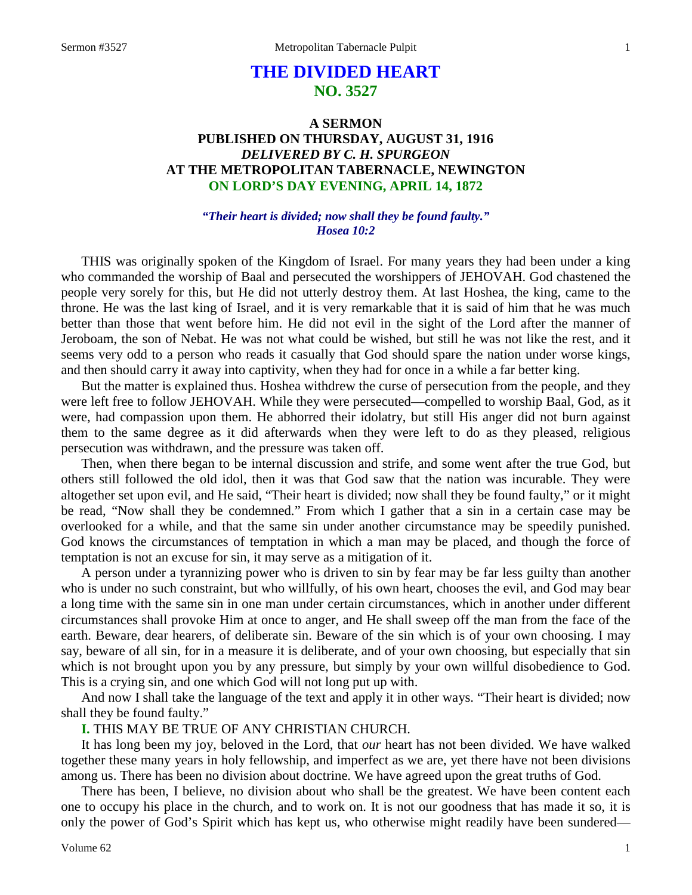# **THE DIVIDED HEART NO. 3527**

## **A SERMON PUBLISHED ON THURSDAY, AUGUST 31, 1916** *DELIVERED BY C. H. SPURGEON* **AT THE METROPOLITAN TABERNACLE, NEWINGTON ON LORD'S DAY EVENING, APRIL 14, 1872**

#### *"Their heart is divided; now shall they be found faulty." Hosea 10:2*

THIS was originally spoken of the Kingdom of Israel. For many years they had been under a king who commanded the worship of Baal and persecuted the worshippers of JEHOVAH. God chastened the people very sorely for this, but He did not utterly destroy them. At last Hoshea, the king, came to the throne. He was the last king of Israel, and it is very remarkable that it is said of him that he was much better than those that went before him. He did not evil in the sight of the Lord after the manner of Jeroboam, the son of Nebat. He was not what could be wished, but still he was not like the rest, and it seems very odd to a person who reads it casually that God should spare the nation under worse kings, and then should carry it away into captivity, when they had for once in a while a far better king.

But the matter is explained thus. Hoshea withdrew the curse of persecution from the people, and they were left free to follow JEHOVAH. While they were persecuted—compelled to worship Baal, God, as it were, had compassion upon them. He abhorred their idolatry, but still His anger did not burn against them to the same degree as it did afterwards when they were left to do as they pleased, religious persecution was withdrawn, and the pressure was taken off.

Then, when there began to be internal discussion and strife, and some went after the true God, but others still followed the old idol, then it was that God saw that the nation was incurable. They were altogether set upon evil, and He said, "Their heart is divided; now shall they be found faulty," or it might be read, "Now shall they be condemned." From which I gather that a sin in a certain case may be overlooked for a while, and that the same sin under another circumstance may be speedily punished. God knows the circumstances of temptation in which a man may be placed, and though the force of temptation is not an excuse for sin, it may serve as a mitigation of it.

A person under a tyrannizing power who is driven to sin by fear may be far less guilty than another who is under no such constraint, but who willfully, of his own heart, chooses the evil, and God may bear a long time with the same sin in one man under certain circumstances, which in another under different circumstances shall provoke Him at once to anger, and He shall sweep off the man from the face of the earth. Beware, dear hearers, of deliberate sin. Beware of the sin which is of your own choosing. I may say, beware of all sin, for in a measure it is deliberate, and of your own choosing, but especially that sin which is not brought upon you by any pressure, but simply by your own willful disobedience to God. This is a crying sin, and one which God will not long put up with.

And now I shall take the language of the text and apply it in other ways. "Their heart is divided; now shall they be found faulty."

### **I.** THIS MAY BE TRUE OF ANY CHRISTIAN CHURCH.

It has long been my joy, beloved in the Lord, that *our* heart has not been divided. We have walked together these many years in holy fellowship, and imperfect as we are, yet there have not been divisions among us. There has been no division about doctrine. We have agreed upon the great truths of God.

There has been, I believe, no division about who shall be the greatest. We have been content each one to occupy his place in the church, and to work on. It is not our goodness that has made it so, it is only the power of God's Spirit which has kept us, who otherwise might readily have been sundered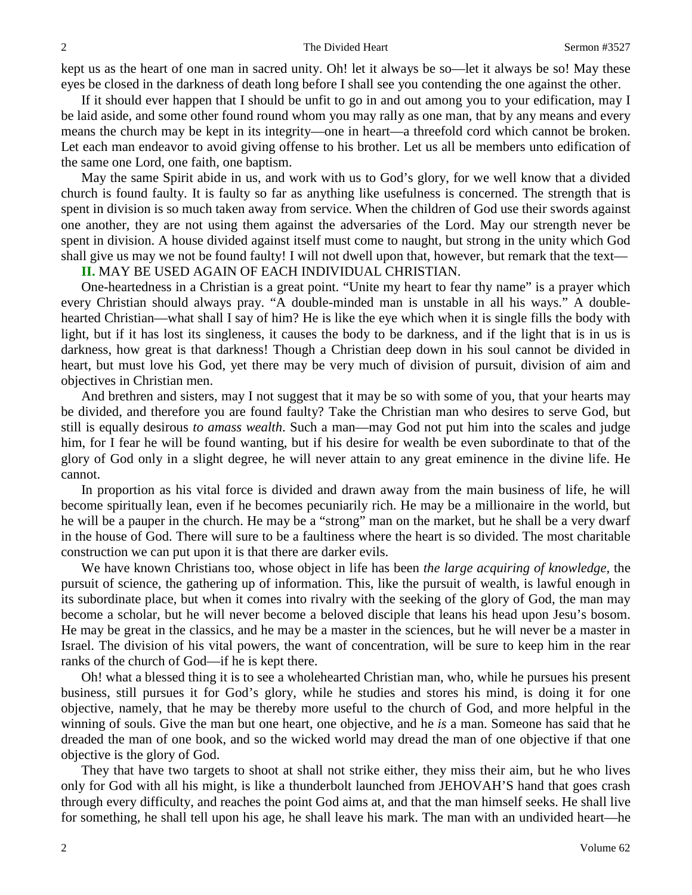kept us as the heart of one man in sacred unity. Oh! let it always be so—let it always be so! May these eyes be closed in the darkness of death long before I shall see you contending the one against the other.

If it should ever happen that I should be unfit to go in and out among you to your edification, may I be laid aside, and some other found round whom you may rally as one man, that by any means and every means the church may be kept in its integrity—one in heart—a threefold cord which cannot be broken. Let each man endeavor to avoid giving offense to his brother. Let us all be members unto edification of the same one Lord, one faith, one baptism.

May the same Spirit abide in us, and work with us to God's glory, for we well know that a divided church is found faulty. It is faulty so far as anything like usefulness is concerned. The strength that is spent in division is so much taken away from service. When the children of God use their swords against one another, they are not using them against the adversaries of the Lord. May our strength never be spent in division. A house divided against itself must come to naught, but strong in the unity which God shall give us may we not be found faulty! I will not dwell upon that, however, but remark that the text—

#### **II.** MAY BE USED AGAIN OF EACH INDIVIDUAL CHRISTIAN.

One-heartedness in a Christian is a great point. "Unite my heart to fear thy name" is a prayer which every Christian should always pray. "A double-minded man is unstable in all his ways." A doublehearted Christian—what shall I say of him? He is like the eye which when it is single fills the body with light, but if it has lost its singleness, it causes the body to be darkness, and if the light that is in us is darkness, how great is that darkness! Though a Christian deep down in his soul cannot be divided in heart, but must love his God, yet there may be very much of division of pursuit, division of aim and objectives in Christian men.

And brethren and sisters, may I not suggest that it may be so with some of you, that your hearts may be divided, and therefore you are found faulty? Take the Christian man who desires to serve God, but still is equally desirous *to amass wealth*. Such a man—may God not put him into the scales and judge him, for I fear he will be found wanting, but if his desire for wealth be even subordinate to that of the glory of God only in a slight degree, he will never attain to any great eminence in the divine life. He cannot.

In proportion as his vital force is divided and drawn away from the main business of life, he will become spiritually lean, even if he becomes pecuniarily rich. He may be a millionaire in the world, but he will be a pauper in the church. He may be a "strong" man on the market, but he shall be a very dwarf in the house of God. There will sure to be a faultiness where the heart is so divided. The most charitable construction we can put upon it is that there are darker evils.

We have known Christians too, whose object in life has been *the large acquiring of knowledge,* the pursuit of science, the gathering up of information. This, like the pursuit of wealth, is lawful enough in its subordinate place, but when it comes into rivalry with the seeking of the glory of God, the man may become a scholar, but he will never become a beloved disciple that leans his head upon Jesu's bosom. He may be great in the classics, and he may be a master in the sciences, but he will never be a master in Israel. The division of his vital powers, the want of concentration, will be sure to keep him in the rear ranks of the church of God—if he is kept there.

Oh! what a blessed thing it is to see a wholehearted Christian man, who, while he pursues his present business, still pursues it for God's glory, while he studies and stores his mind, is doing it for one objective, namely, that he may be thereby more useful to the church of God, and more helpful in the winning of souls. Give the man but one heart, one objective, and he *is* a man. Someone has said that he dreaded the man of one book, and so the wicked world may dread the man of one objective if that one objective is the glory of God.

They that have two targets to shoot at shall not strike either, they miss their aim, but he who lives only for God with all his might, is like a thunderbolt launched from JEHOVAH'S hand that goes crash through every difficulty, and reaches the point God aims at, and that the man himself seeks. He shall live for something, he shall tell upon his age, he shall leave his mark. The man with an undivided heart—he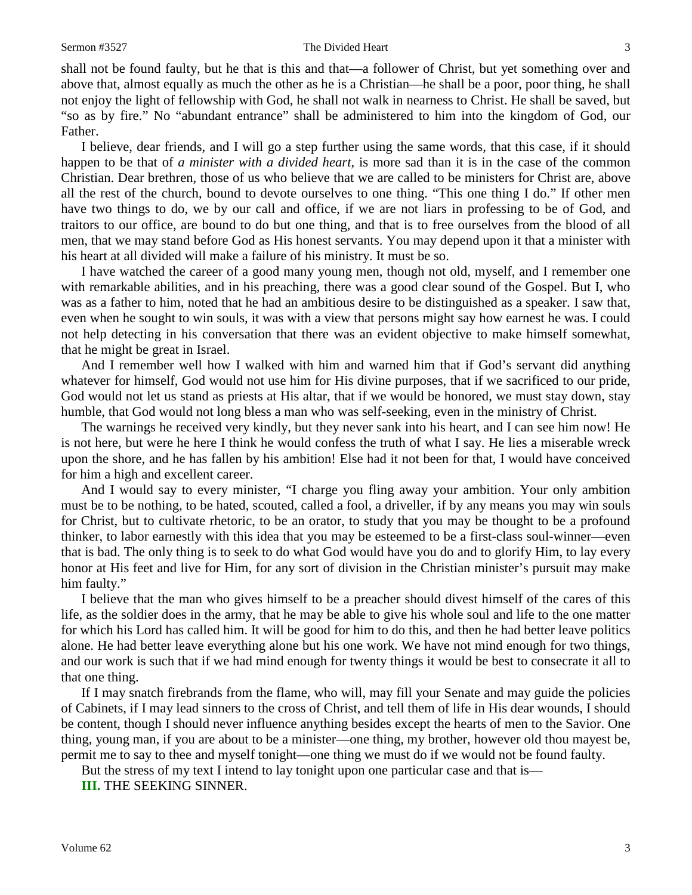#### Sermon #3527 The Divided Heart 3

shall not be found faulty, but he that is this and that—a follower of Christ, but yet something over and above that, almost equally as much the other as he is a Christian—he shall be a poor, poor thing, he shall not enjoy the light of fellowship with God, he shall not walk in nearness to Christ. He shall be saved, but "so as by fire." No "abundant entrance" shall be administered to him into the kingdom of God, our Father.

I believe, dear friends, and I will go a step further using the same words, that this case, if it should happen to be that of *a minister with a divided heart,* is more sad than it is in the case of the common Christian. Dear brethren, those of us who believe that we are called to be ministers for Christ are, above all the rest of the church, bound to devote ourselves to one thing. "This one thing I do." If other men have two things to do, we by our call and office, if we are not liars in professing to be of God, and traitors to our office, are bound to do but one thing, and that is to free ourselves from the blood of all men, that we may stand before God as His honest servants. You may depend upon it that a minister with his heart at all divided will make a failure of his ministry. It must be so.

I have watched the career of a good many young men, though not old, myself, and I remember one with remarkable abilities, and in his preaching, there was a good clear sound of the Gospel. But I, who was as a father to him, noted that he had an ambitious desire to be distinguished as a speaker. I saw that, even when he sought to win souls, it was with a view that persons might say how earnest he was. I could not help detecting in his conversation that there was an evident objective to make himself somewhat, that he might be great in Israel.

And I remember well how I walked with him and warned him that if God's servant did anything whatever for himself, God would not use him for His divine purposes, that if we sacrificed to our pride, God would not let us stand as priests at His altar, that if we would be honored, we must stay down, stay humble, that God would not long bless a man who was self-seeking, even in the ministry of Christ.

The warnings he received very kindly, but they never sank into his heart, and I can see him now! He is not here, but were he here I think he would confess the truth of what I say. He lies a miserable wreck upon the shore, and he has fallen by his ambition! Else had it not been for that, I would have conceived for him a high and excellent career.

And I would say to every minister, "I charge you fling away your ambition. Your only ambition must be to be nothing, to be hated, scouted, called a fool, a driveller, if by any means you may win souls for Christ, but to cultivate rhetoric, to be an orator, to study that you may be thought to be a profound thinker, to labor earnestly with this idea that you may be esteemed to be a first-class soul-winner—even that is bad. The only thing is to seek to do what God would have you do and to glorify Him, to lay every honor at His feet and live for Him, for any sort of division in the Christian minister's pursuit may make him faulty."

I believe that the man who gives himself to be a preacher should divest himself of the cares of this life, as the soldier does in the army, that he may be able to give his whole soul and life to the one matter for which his Lord has called him. It will be good for him to do this, and then he had better leave politics alone. He had better leave everything alone but his one work. We have not mind enough for two things, and our work is such that if we had mind enough for twenty things it would be best to consecrate it all to that one thing.

If I may snatch firebrands from the flame, who will, may fill your Senate and may guide the policies of Cabinets, if I may lead sinners to the cross of Christ, and tell them of life in His dear wounds, I should be content, though I should never influence anything besides except the hearts of men to the Savior. One thing, young man, if you are about to be a minister—one thing, my brother, however old thou mayest be, permit me to say to thee and myself tonight—one thing we must do if we would not be found faulty.

But the stress of my text I intend to lay tonight upon one particular case and that is—

**III.** THE SEEKING SINNER.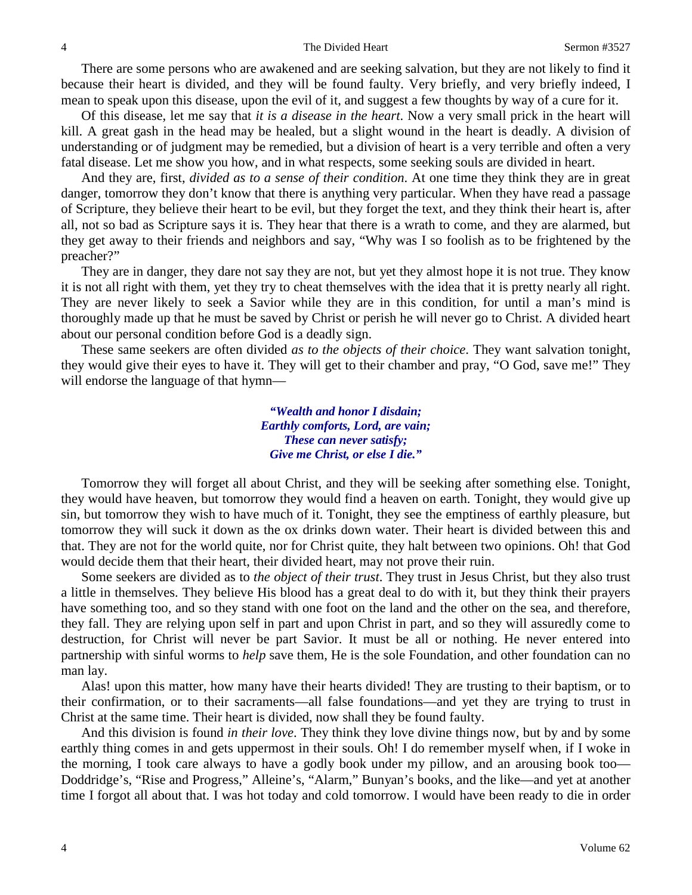There are some persons who are awakened and are seeking salvation, but they are not likely to find it because their heart is divided, and they will be found faulty. Very briefly, and very briefly indeed, I mean to speak upon this disease, upon the evil of it, and suggest a few thoughts by way of a cure for it.

Of this disease, let me say that *it is a disease in the heart*. Now a very small prick in the heart will kill. A great gash in the head may be healed, but a slight wound in the heart is deadly. A division of understanding or of judgment may be remedied, but a division of heart is a very terrible and often a very fatal disease. Let me show you how, and in what respects, some seeking souls are divided in heart.

And they are, first, *divided as to a sense of their condition*. At one time they think they are in great danger, tomorrow they don't know that there is anything very particular. When they have read a passage of Scripture, they believe their heart to be evil, but they forget the text, and they think their heart is, after all, not so bad as Scripture says it is. They hear that there is a wrath to come, and they are alarmed, but they get away to their friends and neighbors and say, "Why was I so foolish as to be frightened by the preacher?"

They are in danger, they dare not say they are not, but yet they almost hope it is not true. They know it is not all right with them, yet they try to cheat themselves with the idea that it is pretty nearly all right. They are never likely to seek a Savior while they are in this condition, for until a man's mind is thoroughly made up that he must be saved by Christ or perish he will never go to Christ. A divided heart about our personal condition before God is a deadly sign.

These same seekers are often divided *as to the objects of their choice*. They want salvation tonight, they would give their eyes to have it. They will get to their chamber and pray, "O God, save me!" They will endorse the language of that hymn—

> *"Wealth and honor I disdain; Earthly comforts, Lord, are vain; These can never satisfy; Give me Christ, or else I die."*

Tomorrow they will forget all about Christ, and they will be seeking after something else. Tonight, they would have heaven, but tomorrow they would find a heaven on earth. Tonight, they would give up sin, but tomorrow they wish to have much of it. Tonight, they see the emptiness of earthly pleasure, but tomorrow they will suck it down as the ox drinks down water. Their heart is divided between this and that. They are not for the world quite, nor for Christ quite, they halt between two opinions. Oh! that God would decide them that their heart, their divided heart, may not prove their ruin.

Some seekers are divided as to *the object of their trust*. They trust in Jesus Christ, but they also trust a little in themselves. They believe His blood has a great deal to do with it, but they think their prayers have something too, and so they stand with one foot on the land and the other on the sea, and therefore, they fall. They are relying upon self in part and upon Christ in part, and so they will assuredly come to destruction, for Christ will never be part Savior. It must be all or nothing. He never entered into partnership with sinful worms to *help* save them, He is the sole Foundation, and other foundation can no man lay.

Alas! upon this matter, how many have their hearts divided! They are trusting to their baptism, or to their confirmation, or to their sacraments—all false foundations—and yet they are trying to trust in Christ at the same time. Their heart is divided, now shall they be found faulty.

And this division is found *in their love*. They think they love divine things now, but by and by some earthly thing comes in and gets uppermost in their souls. Oh! I do remember myself when, if I woke in the morning, I took care always to have a godly book under my pillow, and an arousing book too— Doddridge's, "Rise and Progress," Alleine's, "Alarm," Bunyan's books, and the like—and yet at another time I forgot all about that. I was hot today and cold tomorrow. I would have been ready to die in order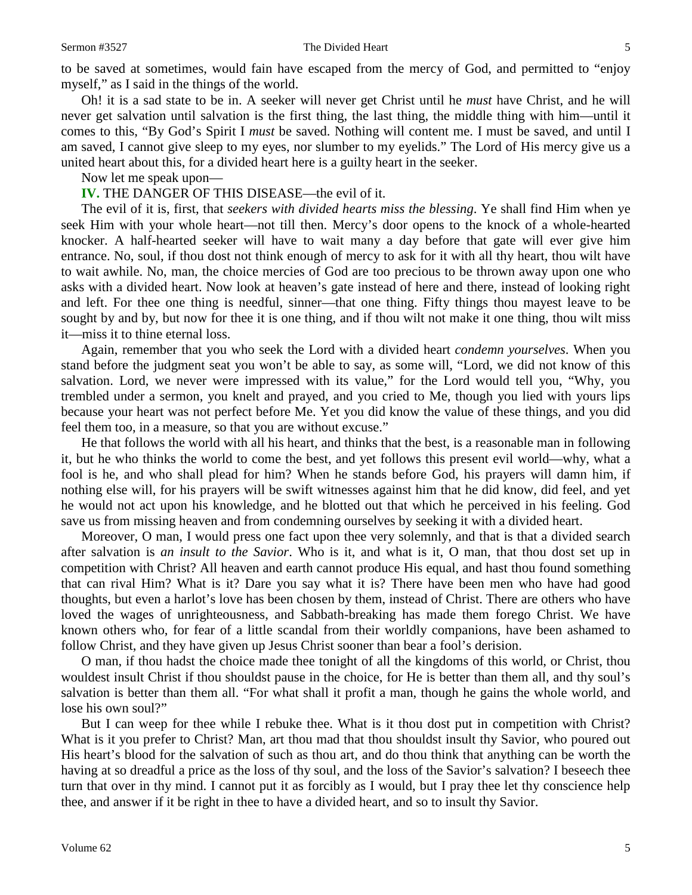#### Sermon #3527 The Divided Heart 5

to be saved at sometimes, would fain have escaped from the mercy of God, and permitted to "enjoy myself," as I said in the things of the world.

Oh! it is a sad state to be in. A seeker will never get Christ until he *must* have Christ, and he will never get salvation until salvation is the first thing, the last thing, the middle thing with him—until it comes to this, "By God's Spirit I *must* be saved. Nothing will content me. I must be saved, and until I am saved, I cannot give sleep to my eyes, nor slumber to my eyelids." The Lord of His mercy give us a united heart about this, for a divided heart here is a guilty heart in the seeker.

Now let me speak upon—

**IV.** THE DANGER OF THIS DISEASE—the evil of it.

The evil of it is, first, that *seekers with divided hearts miss the blessing*. Ye shall find Him when ye seek Him with your whole heart—not till then. Mercy's door opens to the knock of a whole-hearted knocker. A half-hearted seeker will have to wait many a day before that gate will ever give him entrance. No, soul, if thou dost not think enough of mercy to ask for it with all thy heart, thou wilt have to wait awhile. No, man, the choice mercies of God are too precious to be thrown away upon one who asks with a divided heart. Now look at heaven's gate instead of here and there, instead of looking right and left. For thee one thing is needful, sinner—that one thing. Fifty things thou mayest leave to be sought by and by, but now for thee it is one thing, and if thou wilt not make it one thing, thou wilt miss it—miss it to thine eternal loss.

Again, remember that you who seek the Lord with a divided heart *condemn yourselves*. When you stand before the judgment seat you won't be able to say, as some will, "Lord, we did not know of this salvation. Lord, we never were impressed with its value," for the Lord would tell you, "Why, you trembled under a sermon, you knelt and prayed, and you cried to Me, though you lied with yours lips because your heart was not perfect before Me. Yet you did know the value of these things, and you did feel them too, in a measure, so that you are without excuse."

He that follows the world with all his heart, and thinks that the best, is a reasonable man in following it, but he who thinks the world to come the best, and yet follows this present evil world—why, what a fool is he, and who shall plead for him? When he stands before God, his prayers will damn him, if nothing else will, for his prayers will be swift witnesses against him that he did know, did feel, and yet he would not act upon his knowledge, and he blotted out that which he perceived in his feeling. God save us from missing heaven and from condemning ourselves by seeking it with a divided heart.

Moreover, O man, I would press one fact upon thee very solemnly, and that is that a divided search after salvation is *an insult to the Savior*. Who is it, and what is it, O man, that thou dost set up in competition with Christ? All heaven and earth cannot produce His equal, and hast thou found something that can rival Him? What is it? Dare you say what it is? There have been men who have had good thoughts, but even a harlot's love has been chosen by them, instead of Christ. There are others who have loved the wages of unrighteousness, and Sabbath-breaking has made them forego Christ. We have known others who, for fear of a little scandal from their worldly companions, have been ashamed to follow Christ, and they have given up Jesus Christ sooner than bear a fool's derision.

O man, if thou hadst the choice made thee tonight of all the kingdoms of this world, or Christ, thou wouldest insult Christ if thou shouldst pause in the choice, for He is better than them all, and thy soul's salvation is better than them all. "For what shall it profit a man, though he gains the whole world, and lose his own soul?"

But I can weep for thee while I rebuke thee. What is it thou dost put in competition with Christ? What is it you prefer to Christ? Man, art thou mad that thou shouldst insult thy Savior, who poured out His heart's blood for the salvation of such as thou art, and do thou think that anything can be worth the having at so dreadful a price as the loss of thy soul, and the loss of the Savior's salvation? I beseech thee turn that over in thy mind. I cannot put it as forcibly as I would, but I pray thee let thy conscience help thee, and answer if it be right in thee to have a divided heart, and so to insult thy Savior.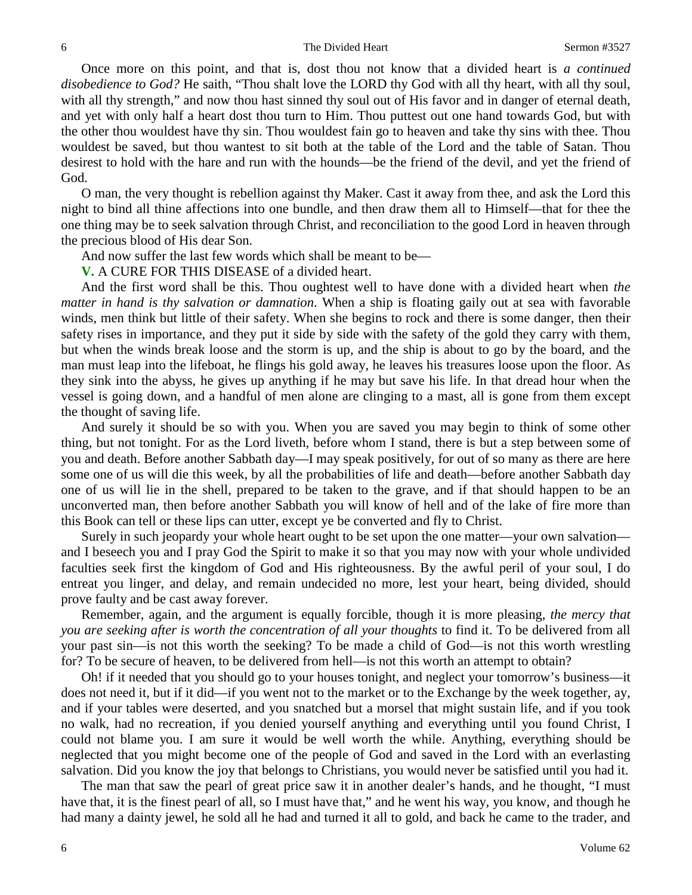Once more on this point, and that is, dost thou not know that a divided heart is *a continued disobedience to God?* He saith, "Thou shalt love the LORD thy God with all thy heart, with all thy soul, with all thy strength," and now thou hast sinned thy soul out of His favor and in danger of eternal death, and yet with only half a heart dost thou turn to Him. Thou puttest out one hand towards God, but with the other thou wouldest have thy sin. Thou wouldest fain go to heaven and take thy sins with thee. Thou wouldest be saved, but thou wantest to sit both at the table of the Lord and the table of Satan. Thou desirest to hold with the hare and run with the hounds—be the friend of the devil, and yet the friend of God.

O man, the very thought is rebellion against thy Maker. Cast it away from thee, and ask the Lord this night to bind all thine affections into one bundle, and then draw them all to Himself—that for thee the one thing may be to seek salvation through Christ, and reconciliation to the good Lord in heaven through the precious blood of His dear Son.

And now suffer the last few words which shall be meant to be—

**V.** A CURE FOR THIS DISEASE of a divided heart.

And the first word shall be this. Thou oughtest well to have done with a divided heart when *the matter in hand is thy salvation or damnation*. When a ship is floating gaily out at sea with favorable winds, men think but little of their safety. When she begins to rock and there is some danger, then their safety rises in importance, and they put it side by side with the safety of the gold they carry with them, but when the winds break loose and the storm is up, and the ship is about to go by the board, and the man must leap into the lifeboat, he flings his gold away, he leaves his treasures loose upon the floor. As they sink into the abyss, he gives up anything if he may but save his life. In that dread hour when the vessel is going down, and a handful of men alone are clinging to a mast, all is gone from them except the thought of saving life.

And surely it should be so with you. When you are saved you may begin to think of some other thing, but not tonight. For as the Lord liveth, before whom I stand, there is but a step between some of you and death. Before another Sabbath day—I may speak positively, for out of so many as there are here some one of us will die this week, by all the probabilities of life and death—before another Sabbath day one of us will lie in the shell, prepared to be taken to the grave, and if that should happen to be an unconverted man, then before another Sabbath you will know of hell and of the lake of fire more than this Book can tell or these lips can utter, except ye be converted and fly to Christ.

Surely in such jeopardy your whole heart ought to be set upon the one matter—your own salvation and I beseech you and I pray God the Spirit to make it so that you may now with your whole undivided faculties seek first the kingdom of God and His righteousness. By the awful peril of your soul, I do entreat you linger, and delay, and remain undecided no more, lest your heart, being divided, should prove faulty and be cast away forever.

Remember, again, and the argument is equally forcible, though it is more pleasing, *the mercy that you are seeking after is worth the concentration of all your thoughts* to find it. To be delivered from all your past sin—is not this worth the seeking? To be made a child of God—is not this worth wrestling for? To be secure of heaven, to be delivered from hell—is not this worth an attempt to obtain?

Oh! if it needed that you should go to your houses tonight, and neglect your tomorrow's business—it does not need it, but if it did—if you went not to the market or to the Exchange by the week together, ay, and if your tables were deserted, and you snatched but a morsel that might sustain life, and if you took no walk, had no recreation, if you denied yourself anything and everything until you found Christ, I could not blame you. I am sure it would be well worth the while. Anything, everything should be neglected that you might become one of the people of God and saved in the Lord with an everlasting salvation. Did you know the joy that belongs to Christians, you would never be satisfied until you had it.

The man that saw the pearl of great price saw it in another dealer's hands, and he thought, "I must have that, it is the finest pearl of all, so I must have that," and he went his way, you know, and though he had many a dainty jewel, he sold all he had and turned it all to gold, and back he came to the trader, and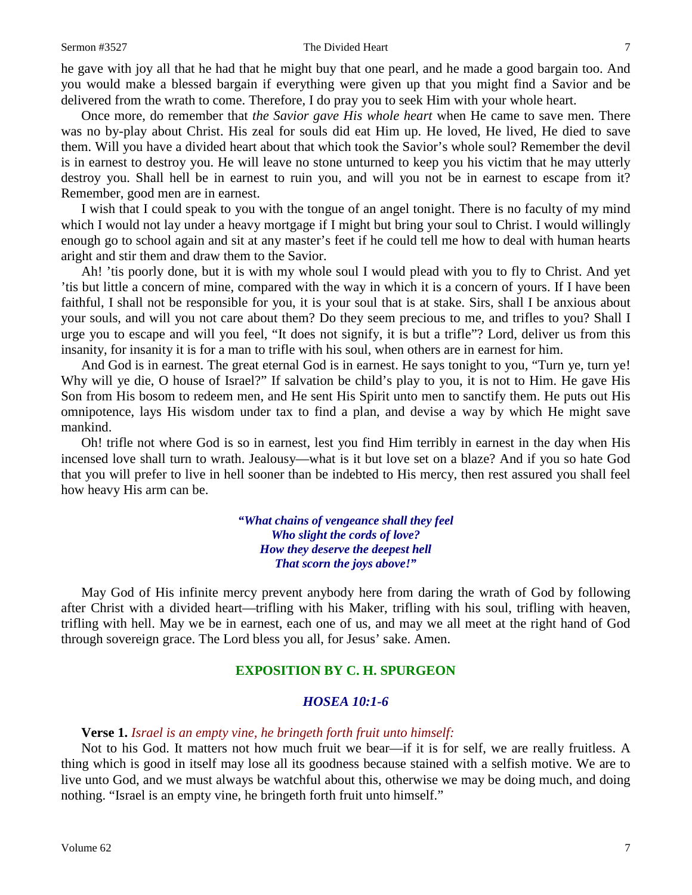he gave with joy all that he had that he might buy that one pearl, and he made a good bargain too. And you would make a blessed bargain if everything were given up that you might find a Savior and be delivered from the wrath to come. Therefore, I do pray you to seek Him with your whole heart.

Once more, do remember that *the Savior gave His whole heart* when He came to save men. There was no by-play about Christ. His zeal for souls did eat Him up. He loved, He lived, He died to save them. Will you have a divided heart about that which took the Savior's whole soul? Remember the devil is in earnest to destroy you. He will leave no stone unturned to keep you his victim that he may utterly destroy you. Shall hell be in earnest to ruin you, and will you not be in earnest to escape from it? Remember, good men are in earnest.

I wish that I could speak to you with the tongue of an angel tonight. There is no faculty of my mind which I would not lay under a heavy mortgage if I might but bring your soul to Christ. I would willingly enough go to school again and sit at any master's feet if he could tell me how to deal with human hearts aright and stir them and draw them to the Savior.

Ah! 'tis poorly done, but it is with my whole soul I would plead with you to fly to Christ. And yet 'tis but little a concern of mine, compared with the way in which it is a concern of yours. If I have been faithful, I shall not be responsible for you, it is your soul that is at stake. Sirs, shall I be anxious about your souls, and will you not care about them? Do they seem precious to me, and trifles to you? Shall I urge you to escape and will you feel, "It does not signify, it is but a trifle"? Lord, deliver us from this insanity, for insanity it is for a man to trifle with his soul, when others are in earnest for him.

And God is in earnest. The great eternal God is in earnest. He says tonight to you, "Turn ye, turn ye! Why will ye die, O house of Israel?" If salvation be child's play to you, it is not to Him. He gave His Son from His bosom to redeem men, and He sent His Spirit unto men to sanctify them. He puts out His omnipotence, lays His wisdom under tax to find a plan, and devise a way by which He might save mankind.

Oh! trifle not where God is so in earnest, lest you find Him terribly in earnest in the day when His incensed love shall turn to wrath. Jealousy—what is it but love set on a blaze? And if you so hate God that you will prefer to live in hell sooner than be indebted to His mercy, then rest assured you shall feel how heavy His arm can be.

> *"What chains of vengeance shall they feel Who slight the cords of love? How they deserve the deepest hell That scorn the joys above!"*

May God of His infinite mercy prevent anybody here from daring the wrath of God by following after Christ with a divided heart—trifling with his Maker, trifling with his soul, trifling with heaven, trifling with hell. May we be in earnest, each one of us, and may we all meet at the right hand of God through sovereign grace. The Lord bless you all, for Jesus' sake. Amen.

### **EXPOSITION BY C. H. SPURGEON**

#### *HOSEA 10:1-6*

#### **Verse 1.** *Israel is an empty vine, he bringeth forth fruit unto himself:*

Not to his God. It matters not how much fruit we bear—if it is for self, we are really fruitless. A thing which is good in itself may lose all its goodness because stained with a selfish motive. We are to live unto God, and we must always be watchful about this, otherwise we may be doing much, and doing nothing. "Israel is an empty vine, he bringeth forth fruit unto himself."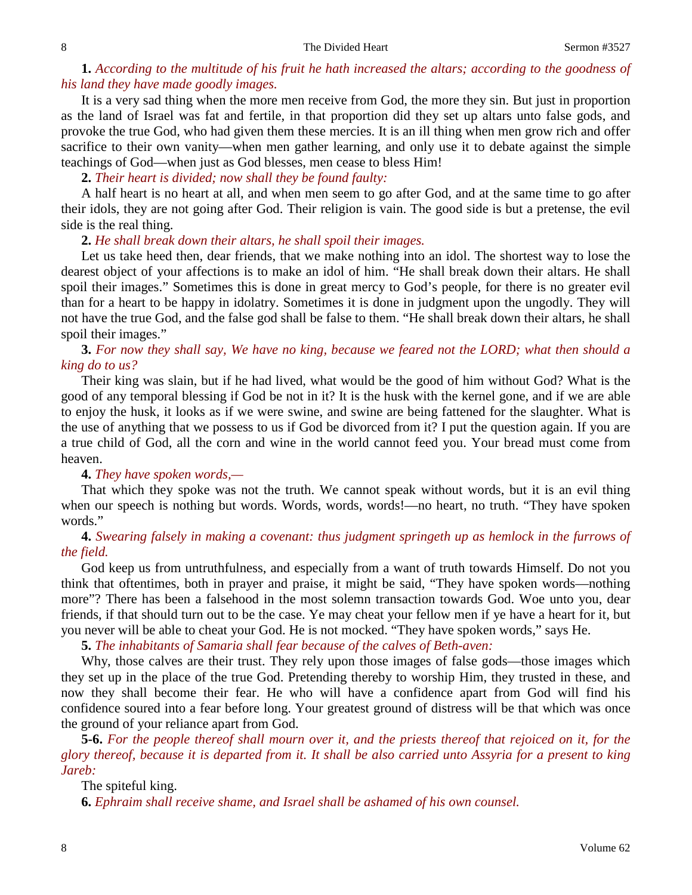#### 8 Sermon #3527

## **1.** *According to the multitude of his fruit he hath increased the altars; according to the goodness of his land they have made goodly images.*

It is a very sad thing when the more men receive from God, the more they sin. But just in proportion as the land of Israel was fat and fertile, in that proportion did they set up altars unto false gods, and provoke the true God, who had given them these mercies. It is an ill thing when men grow rich and offer sacrifice to their own vanity—when men gather learning, and only use it to debate against the simple teachings of God—when just as God blesses, men cease to bless Him!

**2.** *Their heart is divided; now shall they be found faulty:*

A half heart is no heart at all, and when men seem to go after God, and at the same time to go after their idols, they are not going after God. Their religion is vain. The good side is but a pretense, the evil side is the real thing.

### **2.** *He shall break down their altars, he shall spoil their images.*

Let us take heed then, dear friends, that we make nothing into an idol. The shortest way to lose the dearest object of your affections is to make an idol of him. "He shall break down their altars. He shall spoil their images." Sometimes this is done in great mercy to God's people, for there is no greater evil than for a heart to be happy in idolatry. Sometimes it is done in judgment upon the ungodly. They will not have the true God, and the false god shall be false to them. "He shall break down their altars, he shall spoil their images."

## **3.** *For now they shall say, We have no king, because we feared not the LORD; what then should a king do to us?*

Their king was slain, but if he had lived, what would be the good of him without God? What is the good of any temporal blessing if God be not in it? It is the husk with the kernel gone, and if we are able to enjoy the husk, it looks as if we were swine, and swine are being fattened for the slaughter. What is the use of anything that we possess to us if God be divorced from it? I put the question again. If you are a true child of God, all the corn and wine in the world cannot feed you. Your bread must come from heaven.

## **4.** *They have spoken words,—*

That which they spoke was not the truth. We cannot speak without words, but it is an evil thing when our speech is nothing but words. Words, words, words!—no heart, no truth. "They have spoken words."

## **4.** *Swearing falsely in making a covenant: thus judgment springeth up as hemlock in the furrows of the field.*

God keep us from untruthfulness, and especially from a want of truth towards Himself. Do not you think that oftentimes, both in prayer and praise, it might be said, "They have spoken words—nothing more"? There has been a falsehood in the most solemn transaction towards God. Woe unto you, dear friends, if that should turn out to be the case. Ye may cheat your fellow men if ye have a heart for it, but you never will be able to cheat your God. He is not mocked. "They have spoken words," says He.

**5.** *The inhabitants of Samaria shall fear because of the calves of Beth-aven:*

Why, those calves are their trust. They rely upon those images of false gods—those images which they set up in the place of the true God. Pretending thereby to worship Him, they trusted in these, and now they shall become their fear. He who will have a confidence apart from God will find his confidence soured into a fear before long. Your greatest ground of distress will be that which was once the ground of your reliance apart from God.

**5-6.** *For the people thereof shall mourn over it, and the priests thereof that rejoiced on it, for the glory thereof, because it is departed from it. It shall be also carried unto Assyria for a present to king Jareb:*

The spiteful king.

**6.** *Ephraim shall receive shame, and Israel shall be ashamed of his own counsel.*